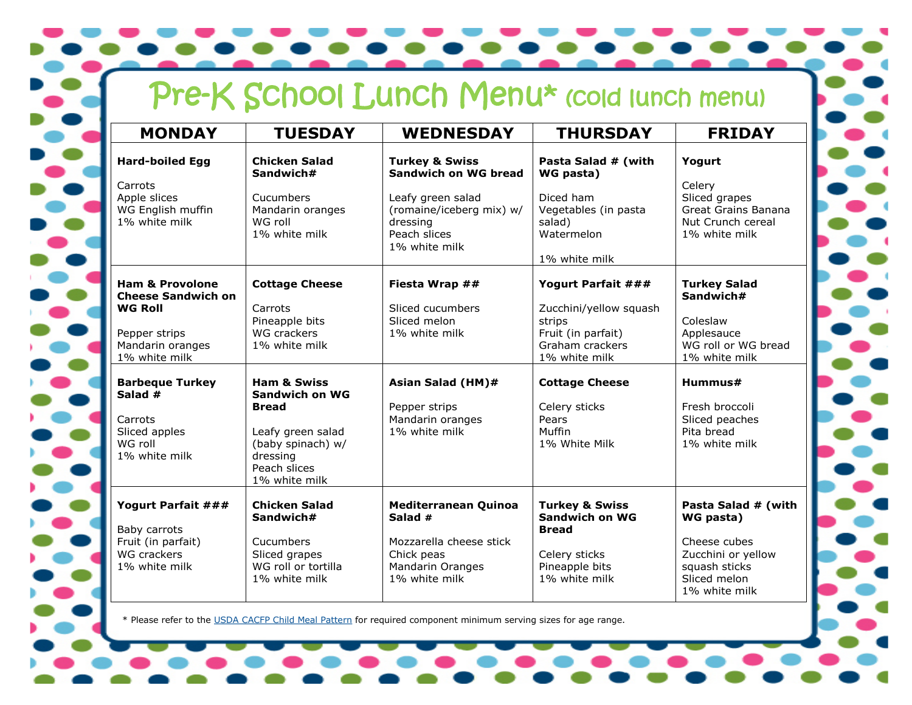|  |  |  |  | Pre-K School Lunch Menu* (cold lunch menu) |  |
|--|--|--|--|--------------------------------------------|--|
|--|--|--|--|--------------------------------------------|--|

| <b>MONDAY</b>                                                                                                                   | <b>TUESDAY</b>                                                                                                                                  | <b>WEDNESDAY</b>                                                                                                                                       | <b>THURSDAY</b>                                                                                                        | <b>FRIDAY</b>                                                                                                            |
|---------------------------------------------------------------------------------------------------------------------------------|-------------------------------------------------------------------------------------------------------------------------------------------------|--------------------------------------------------------------------------------------------------------------------------------------------------------|------------------------------------------------------------------------------------------------------------------------|--------------------------------------------------------------------------------------------------------------------------|
| <b>Hard-boiled Egg</b><br>Carrots<br>Apple slices<br>WG English muffin<br>1% white milk                                         | <b>Chicken Salad</b><br>Sandwich#<br>Cucumbers<br>Mandarin oranges<br>WG roll<br>1% white milk                                                  | <b>Turkey &amp; Swiss</b><br><b>Sandwich on WG bread</b><br>Leafy green salad<br>(romaine/iceberg mix) w/<br>dressing<br>Peach slices<br>1% white milk | Pasta Salad # (with<br>WG pasta)<br>Diced ham<br>Vegetables (in pasta<br>salad)<br>Watermelon<br>1% white milk         | Yogurt<br>Celery<br>Sliced grapes<br>Great Grains Banana<br>Nut Crunch cereal<br>1% white milk                           |
| <b>Ham &amp; Provolone</b><br><b>Cheese Sandwich on</b><br><b>WG Roll</b><br>Pepper strips<br>Mandarin oranges<br>1% white milk | <b>Cottage Cheese</b><br>Carrots<br>Pineapple bits<br>WG crackers<br>1% white milk                                                              | Fiesta Wrap ##<br>Sliced cucumbers<br>Sliced melon<br>1% white milk                                                                                    | Yogurt Parfait ###<br>Zucchini/yellow squash<br>strips<br>Fruit (in parfait)<br>Graham crackers<br>1% white milk       | <b>Turkey Salad</b><br>Sandwich#<br>Coleslaw<br>Applesauce<br>WG roll or WG bread<br>1% white milk                       |
| <b>Barbeque Turkey</b><br>Salad #<br>Carrots<br>Sliced apples<br>WG roll<br>1% white milk                                       | <b>Ham &amp; Swiss</b><br>Sandwich on WG<br><b>Bread</b><br>Leafy green salad<br>(baby spinach) w/<br>dressing<br>Peach slices<br>1% white milk | Asian Salad (HM)#<br>Pepper strips<br>Mandarin oranges<br>1% white milk                                                                                | <b>Cottage Cheese</b><br>Celery sticks<br>Pears<br>Muffin<br>1% White Milk                                             | Hummus#<br>Fresh broccoli<br>Sliced peaches<br>Pita bread<br>1% white milk                                               |
| Yogurt Parfait ###<br>Baby carrots<br>Fruit (in parfait)<br><b>WG crackers</b><br>1% white milk                                 | <b>Chicken Salad</b><br>Sandwich#<br>Cucumbers<br>Sliced grapes<br>WG roll or tortilla<br>1% white milk                                         | <b>Mediterranean Quinoa</b><br>Salad #<br>Mozzarella cheese stick<br>Chick peas<br><b>Mandarin Oranges</b><br>1% white milk                            | <b>Turkey &amp; Swiss</b><br><b>Sandwich on WG</b><br><b>Bread</b><br>Celery sticks<br>Pineapple bits<br>1% white milk | Pasta Salad # (with<br>WG pasta)<br>Cheese cubes<br>Zucchini or yellow<br>squash sticks<br>Sliced melon<br>1% white milk |

\* Please refer to the [USDA CACFP Child Meal Pattern](https://www.fns.usda.gov/cacfp/meals-and-snacks) for required component minimum serving sizes for age range.